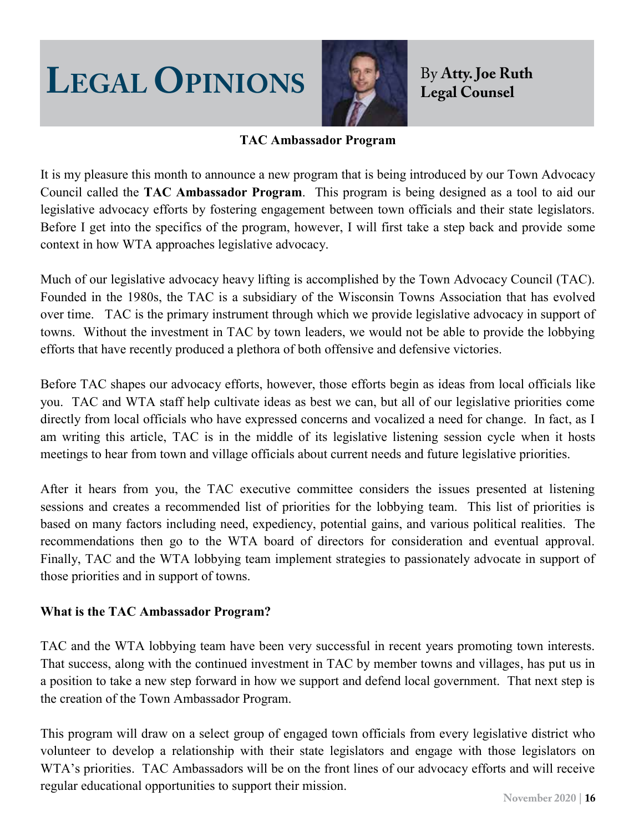# **LEGAL OPINIONS By Atty. Joe Ruth**



### **TAC Ambassador Program**

It is my pleasure this month to announce a new program that is being introduced by our Town Advocacy Council called the **TAC Ambassador Program**. This program is being designed as a tool to aid our legislative advocacy efforts by fostering engagement between town officials and their state legislators. Before I get into the specifics of the program, however, I will first take a step back and provide some context in how WTA approaches legislative advocacy.

Much of our legislative advocacy heavy lifting is accomplished by the Town Advocacy Council (TAC). Founded in the 1980s, the TAC is a subsidiary of the Wisconsin Towns Association that has evolved over time. TAC is the primary instrument through which we provide legislative advocacy in support of towns. Without the investment in TAC by town leaders, we would not be able to provide the lobbying efforts that have recently produced a plethora of both offensive and defensive victories.

Before TAC shapes our advocacy efforts, however, those efforts begin as ideas from local officials like you. TAC and WTA staff help cultivate ideas as best we can, but all of our legislative priorities come directly from local officials who have expressed concerns and vocalized a need for change. In fact, as I am writing this article, TAC is in the middle of its legislative listening session cycle when it hosts meetings to hear from town and village officials about current needs and future legislative priorities.

After it hears from you, the TAC executive committee considers the issues presented at listening sessions and creates a recommended list of priorities for the lobbying team. This list of priorities is based on many factors including need, expediency, potential gains, and various political realities. The recommendations then go to the WTA board of directors for consideration and eventual approval. Finally, TAC and the WTA lobbying team implement strategies to passionately advocate in support of those priorities and in support of towns.

#### **What is the TAC Ambassador Program?**

TAC and the WTA lobbying team have been very successful in recent years promoting town interests. That success, along with the continued investment in TAC by member towns and villages, has put us in a position to take a new step forward in how we support and defend local government. That next step is the creation of the Town Ambassador Program.

This program will draw on a select group of engaged town officials from every legislative district who volunteer to develop a relationship with their state legislators and engage with those legislators on WTA's priorities. TAC Ambassadors will be on the front lines of our advocacy efforts and will receive regular educational opportunities to support their mission.